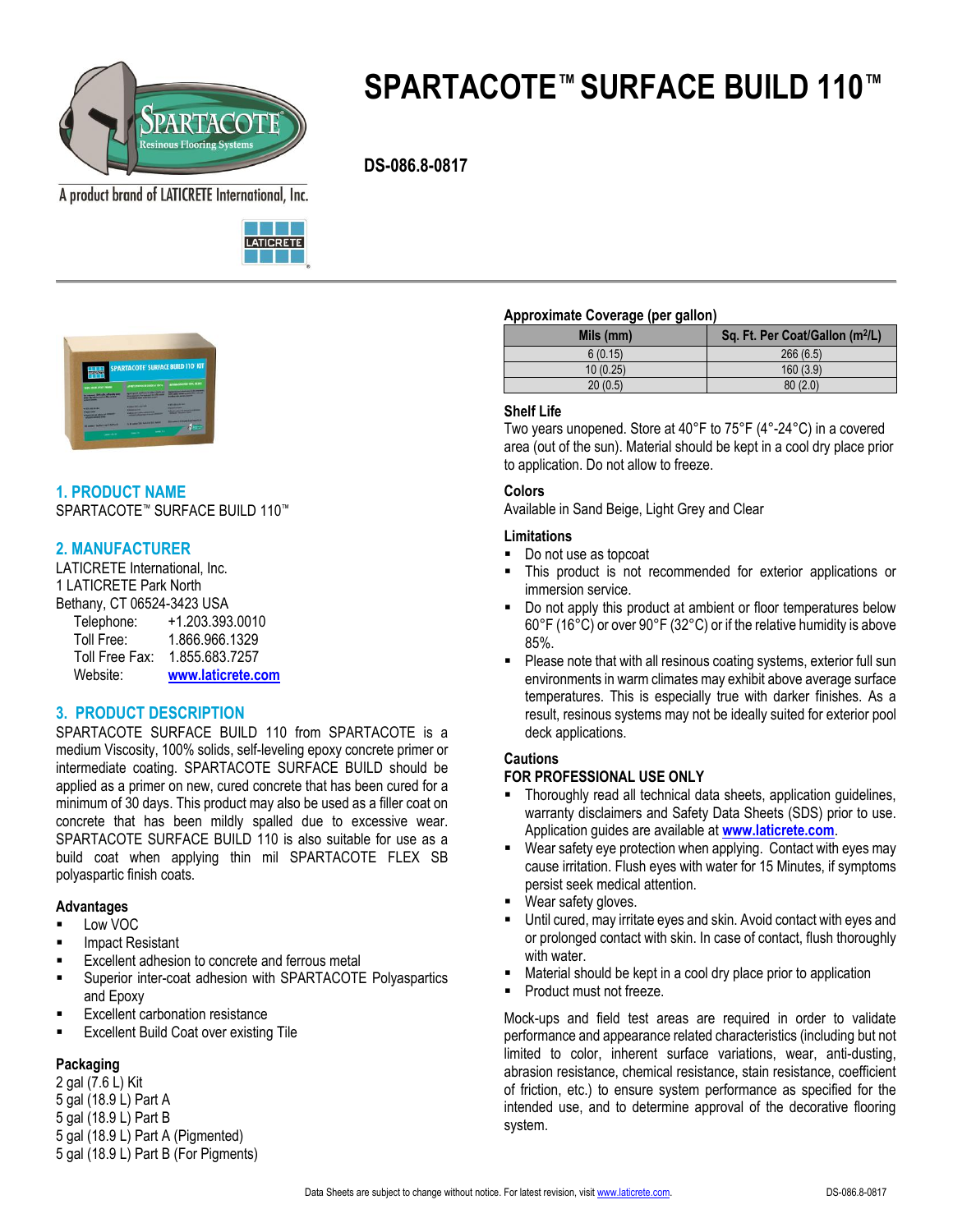

# **SPARTACOTE™ SURFACE BUILD 110™**

 **DS-086.8-0817**

A product brand of LATICRETE International, Inc.





# **1. PRODUCT NAME**

SPARTACOTE™ SURFACE BUILD 110™

# **2. MANUFACTURER**

LATICRETE International, Inc. 1 LATICRETE Park North Bethany, CT 06524-3423 USA Telephone: +1.203.393.0010 Toll Free: 1.866.966.1329 Toll Free Fax: 1.855.683.7257 Website: **[www.laticrete.com](http://www.spartacote.com/)**

# **3. PRODUCT DESCRIPTION**

SPARTACOTE SURFACE BUILD 110 from SPARTACOTE is a medium Viscosity, 100% solids, self-leveling epoxy concrete primer or intermediate coating. SPARTACOTE SURFACE BUILD should be applied as a primer on new, cured concrete that has been cured for a minimum of 30 days. This product may also be used as a filler coat on concrete that has been mildly spalled due to excessive wear. SPARTACOTE SURFACE BUILD 110 is also suitable for use as a build coat when applying thin mil SPARTACOTE FLEX SB polyaspartic finish coats.

# **Advantages**

- Low VOC
- Impact Resistant
- Excellent adhesion to concrete and ferrous metal
- Superior inter-coat adhesion with SPARTACOTE Polyaspartics and Epoxy
- Excellent carbonation resistance
- Excellent Build Coat over existing Tile

# **Packaging**

2 gal (7.6 L) Kit 5 gal (18.9 L) Part A 5 gal (18.9 L) Part B 5 gal (18.9 L) Part A (Pigmented) 5 gal (18.9 L) Part B (For Pigments)

#### **Approximate Coverage (per gallon)**

| . .<br>. . |                                             |
|------------|---------------------------------------------|
| Mils (mm)  | Sq. Ft. Per Coat/Gallon (m <sup>2</sup> /L) |
| 6(0.15)    | 266(6.5)                                    |
| 10(0.25)   | 160(3.9)                                    |
| 20(0.5)    | 80(2.0)                                     |

# **Shelf Life**

Two years unopened. Store at 40°F to 75°F (4°-24°C) in a covered area (out of the sun). Material should be kept in a cool dry place prior to application. Do not allow to freeze.

# **Colors**

Available in Sand Beige, Light Grey and Clear

# **Limitations**

- Do not use as topcoat
- This product is not recommended for exterior applications or immersion service.
- Do not apply this product at ambient or floor temperatures below 60°F (16°C) or over 90°F (32°C) or if the relative humidity is above 85%.
- **Please note that with all resinous coating systems, exterior full sun** environments in warm climates may exhibit above average surface temperatures. This is especially true with darker finishes. As a result, resinous systems may not be ideally suited for exterior pool deck applications.

# **Cautions**

# **FOR PROFESSIONAL USE ONLY**

- Thoroughly read all technical data sheets, application guidelines, warranty disclaimers and Safety Data Sheets (SDS) prior to use. Application guides are available at **[www.laticrete.com](http://www.spartacote.com/)**.
- Wear safety eye protection when applying. Contact with eyes may cause irritation. Flush eyes with water for 15 Minutes, if symptoms persist seek medical attention.
- Wear safety gloves.
- Until cured, may irritate eyes and skin. Avoid contact with eyes and or prolonged contact with skin. In case of contact, flush thoroughly with water.
- Material should be kept in a cool dry place prior to application
- Product must not freeze.

Mock-ups and field test areas are required in order to validate performance and appearance related characteristics (including but not limited to color, inherent surface variations, wear, anti-dusting, abrasion resistance, chemical resistance, stain resistance, coefficient of friction, etc.) to ensure system performance as specified for the intended use, and to determine approval of the decorative flooring system.